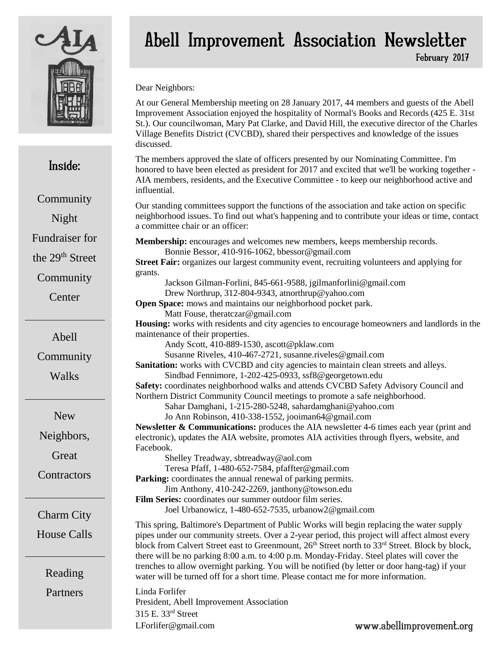

Inside:

**Community** 

Night

Fundraiser for

the 29th Street

**Community** 

**Center** 

# Abell Improvement Association Newsletter

February 2017

Dear Neighbors:

At our General Membership meeting on 28 January 2017, 44 members and guests of the Abell Improvement Association enjoyed the hospitality of Normal's Books and Records (425 E. 31st St.). Our councilwoman, Mary Pat Clarke, and David Hill, the executive director of the Charles Village Benefits District (CVCBD), shared their perspectives and knowledge of the issues discussed.

The members approved the slate of officers presented by our Nominating Committee. I'm honored to have been elected as president for 2017 and excited that we'll be working together - AIA members, residents, and the Executive Committee - to keep our neighborhood active and influential.

Our standing committees support the functions of the association and take action on specific neighborhood issues. To find out what's happening and to contribute your ideas or time, contact a committee chair or an officer:

**Membership:** encourages and welcomes new members, keeps membership records. Bonnie Bessor, 410-916-1062, bbessor@gmail.com **Street Fair:** organizes our largest community event, recruiting volunteers and applying for grants.

Jackson Gilman-Forlini, 845-661-9588, jgilmanforlini@gmail.com Drew Northrup, 312-804-9343, atnorthrup@yahoo.com

**Open Space:** mows and maintains our neighborhood pocket park. Matt Fouse, theratczar@gmail.com

**Housing:** works with residents and city agencies to encourage homeowners and landlords in the maintenance of their properties.

Andy Scott, 410-889-1530, ascott@pklaw.com

Susanne Riveles, 410-467-2721, susanne.riveles@gmail.com

**Sanitation:** works with CVCBD and city agencies to maintain clean streets and alleys. Sindbad Fennimore, 1-202-425-0933, ssf8@georgetown.edu

**Safety:** coordinates neighborhood walks and attends CVCBD Safety Advisory Council and Northern District Community Council meetings to promote a safe neighborhood.

Sahar Damghani, 1-215-280-5248, sahardamghani@yahoo.com

Jo Ann Robinson, 410-338-1552, jooiman64@gmail.com

**Newsletter & Communications:** produces the AIA newsletter 4-6 times each year (print and electronic), updates the AIA website, promotes AIA activities through flyers, website, and Facebook.

Shelley Treadway, sbtreadway@aol.com

Teresa Pfaff, 1-480-652-7584, pfaffter@gmail.com

**Parking:** coordinates the annual renewal of parking permits.

Jim Anthony, 410-242-2269, janthony@towson.edu **Film Series:** coordinates our summer outdoor film series.

Joel Urbanowicz, 1-480-652-7535, urbanow2@gmail.com

This spring, Baltimore's Department of Public Works will begin replacing the water supply pipes under our community streets. Over a 2-year period, this project will affect almost every block from Calvert Street east to Greenmount, 26<sup>th</sup> Street north to 33<sup>rd</sup> Street. Block by block, there will be no parking 8:00 a.m. to 4:00 p.m. Monday-Friday. Steel plates will cover the trenches to allow overnight parking. You will be notified (by letter or door hang-tag) if your water will be turned off for a short time. Please contact me for more information.

Linda Forlifer President, Abell Improvement Association 315 E. 33rd Street [LForlifer@gmail.com](mailto:LForlifer@gmail.com)

www.abellimprovement.org

**Community** 

Abell

**Walks** 

New

Neighbors,

**Great** 

**Contractors** 

Charm City

House Calls

Reading Partners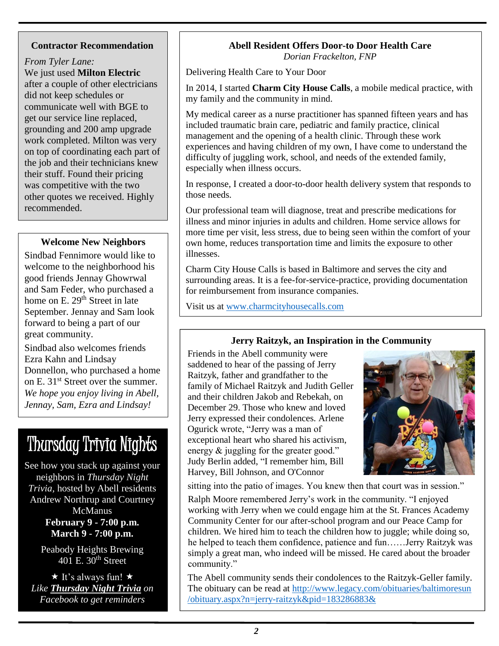#### **Contractor Recommendation**

*From Tyler Lane:* We just used **[Milton Electric](http://www.miltonelectric.com/)**

after a couple of other electricians did not keep schedules or communicate well with BGE to get our service line replaced, grounding and 200 amp upgrade work completed. Milton was very on top of coordinating each part of the job and their technicians knew their stuff. Found their pricing was competitive with the two other quotes we received. Highly recommended.

#### **Welcome New Neighbors**

Sindbad Fennimore would like to welcome to the neighborhood his good friends Jennay Ghowrwal and Sam Feder, who purchased a home on E. 29<sup>th</sup> Street in late September. Jennay and Sam look forward to being a part of our great community.

Sindbad also welcomes friends Ezra Kahn and Lindsay Donnellon, who purchased a home on E. 31st Street over the summer. *We hope you enjoy living in Abell, Jennay, Sam, Ezra and Lindsay!*

# Thursday Trivia Nights

See how you stack up against your neighbors in *Thursday Night Trivia,* hosted by Abell residents Andrew Northrup and Courtney **McManus February 9 - 7:00 p.m. March 9 - 7:00 p.m.**

> Peabody Heights Brewing 401 E.  $30<sup>th</sup>$  Street

 $\star$  It's always fun!  $\star$ *Like [Thursday Night Trivia](https://www.facebook.com/thursdaypeabodytrivia/) on Facebook to get reminders* 

### **Abell Resident Offers Door-to Door Health Care**

*Dorian Frackelton, FNP*

Delivering Health Care to Your Door

In 2014, I started **Charm City House Calls**, a mobile medical practice, with my family and the community in mind.

My medical career as a nurse practitioner has spanned fifteen years and has included traumatic brain care, pediatric and family practice, clinical management and the opening of a health clinic. Through these work experiences and having children of my own, I have come to understand the difficulty of juggling work, school, and needs of the extended family, especially when illness occurs.

In response, I created a door-to-door health delivery system that responds to those needs.

Our professional team will diagnose, treat and prescribe medications for illness and minor injuries in adults and children. Home service allows for more time per visit, less stress, due to being seen within the comfort of your own home, reduces transportation time and limits the exposure to other illnesses.

Charm City House Calls is based in Baltimore and serves the city and surrounding areas. It is a fee-for-service-practice, providing documentation for reimbursement from insurance companies.

Visit us at [www.charmcityhousecalls.com](http://www.charmcityhousecalls.com/) 

#### **Jerry Raitzyk, an Inspiration in the Community**

Friends in the Abell community were saddened to hear of the passing of Jerry Raitzyk, father and grandfather to the family of Michael Raitzyk and Judith Geller and their children Jakob and Rebekah, on December 29. Those who knew and loved Jerry expressed their condolences. [Arlene](https://abell.nextdoor.com/profile/2135443)  [Ogurick](https://abell.nextdoor.com/profile/2135443) wrote, "Jerry was a man of exceptional heart who shared his activism, energy & juggling for the greater good." [Judy Berlin](https://abell.nextdoor.com/profile/578112) added, "I remember him, Bill Harvey, Bill Johnson, and O'Connor



sitting into the patio of images. You knew then that court was in session."

[Ralph Moore](https://abell.nextdoor.com/profile/2477196) remembered Jerry's work in the community. "I enjoyed working with Jerry when we could engage him at the St. Frances Academy Community Center for our after-school program and our Peace Camp for children. We hired him to teach the children how to juggle; while doing so, he helped to teach them confidence, patience and fun……Jerry Raitzyk was simply a great man, who indeed will be missed. He cared about the broader community."

The Abell community sends their condolences to the Raitzyk-Geller family. The obituary can be read at [http://www.legacy.com/obituaries/baltimoresun](http://www.legacy.com/obituaries/baltimoresun/obituary.aspx?n=jerry-raitzyk&pid=183286883&)  [/obituary.aspx?n=jerry-raitzyk&pid=183286883&](http://www.legacy.com/obituaries/baltimoresun/obituary.aspx?n=jerry-raitzyk&pid=183286883&)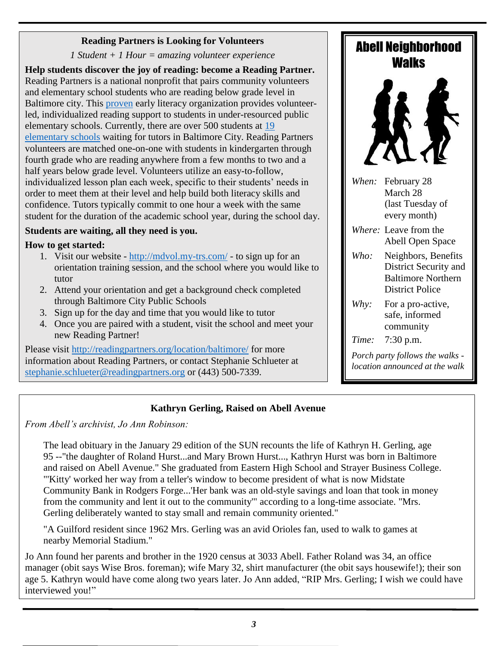#### **Reading Partners is Looking for Volunteers**

*1 Student + 1 Hour = amazing volunteer experience*

**Help students discover the joy of reading: become a Reading Partner.** Reading Partners is a national nonprofit that pairs community volunteers and elementary school students who are reading below grade level in Baltimore city. This [proven](http://link.email.dynect.net/link.php?DynEngagement=true&H=w8Bl7ZSLqC%2BFFEF9P0XN9HJB14ltnTgt2r4zKtmGsiA5bfE55aykH9damW2rnLJxFgqkh%2BBa7hJjwXWHmuLf110PiFxdcvpdoyiJHP%2F9Fji2%2FfPTJ%2FHz2bW9%2BnQJ1XDEFOpCZgn6s9g%3D&G=0&R=http%3A%2F%2Fwww.mdrc.org%2Fpublication%2Fmobilizing-volunteer-tutors-improve-student-literacy&I=20161115132918.00000013a88b%40mail6-51-ussnn1&X=MHwxMDQ2NzU4OjU4MmE0MzM1ZTZlODc5ODZjOGE5Y2I0Zjs%3D&S=V_OcEHhB6yLyuejpoRzTT_gTv0tTxuVLT-gw42DFvbY) early literacy organization provides volunteerled, individualized reading support to students in under-resourced public elementary schools. Currently, there are over 500 students at [19](http://readingpartners.org/location/baltimore/schools/)  [elementary schools](http://readingpartners.org/location/baltimore/schools/) waiting for tutors in Baltimore City. Reading Partners volunteers are matched one-on-one with students in kindergarten through fourth grade who are reading anywhere from a few months to two and a half years below grade level. Volunteers utilize an easy-to-follow, individualized lesson plan each week, specific to their students' needs in order to meet them at their level and help build both literacy skills and confidence. Tutors typically commit to one hour a week with the same student for the duration of the academic school year, during the school day.

#### **Students are waiting, all they need is you.**

#### **How to get started:**

- 1. Visit our website <http://mdvol.my-trs.com/> to sign up for an orientation training session, and the school where you would like to tutor
- 2. Attend your orientation and get a background check completed through Baltimore City Public Schools
- 3. Sign up for the day and time that you would like to tutor
- 4. Once you are paired with a student, visit the school and meet your new Reading Partner!

Please visit<http://readingpartners.org/location/baltimore/> for more information about Reading Partners, or contact Stephanie Schlueter at [stephanie.schlueter@readingpartners.org](mailto:stephanie.schlueter@readingpartners.org) or (443) 500-7339.

### Abell Neighborhood Walks



*When:* February 28 March 28 (last Tuesday of every month)

- *Where:* Leave from the Abell Open Space
- *Who:* Neighbors, Benefits District Security and Baltimore Northern District Police
- *Why:* For a pro-active, safe, informed community

*Time:* 7:30 p.m.

*Porch party follows the walks location announced at the walk*

#### **Kathryn Gerling, Raised on Abell Avenue**

*From Abell's archivist, Jo Ann Robinson:*

The lead obituary in the January 29 edition of the SUN recounts the life of Kathryn H. Gerling, age 95 --"the daughter of Roland Hurst...and Mary Brown Hurst..., Kathryn Hurst was born in Baltimore and raised on Abell Avenue." She graduated from Eastern High School and Strayer Business College. "'Kitty' worked her way from a teller's window to become president of what is now Midstate Community Bank in Rodgers Forge...'Her bank was an old-style savings and loan that took in money from the community and lent it out to the community'" according to a long-time associate. "Mrs. Gerling deliberately wanted to stay small and remain community oriented."

"A Guilford resident since 1962 Mrs. Gerling was an avid Orioles fan, used to walk to games at nearby Memorial Stadium."

Jo Ann found her parents and brother in the 1920 census at 3033 Abell. Father Roland was 34, an office manager (obit says Wise Bros. foreman); wife Mary 32, shirt manufacturer (the obit says housewife!); their son age 5. Kathryn would have come along two years later. Jo Ann added, "RIP Mrs. Gerling; I wish we could have interviewed you!"